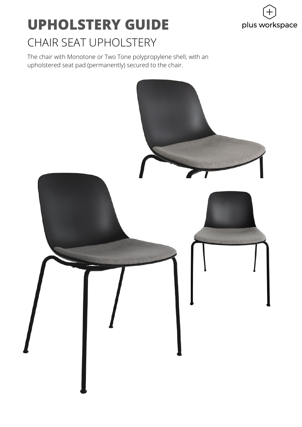

### **UPHOLSTERY GUIDE** CHAIR SEAT UPHOLSTERY

The chair with Monotone or Two Tone polypropylene shell, with an upholstered seat pad (permanently) secured to the chair.

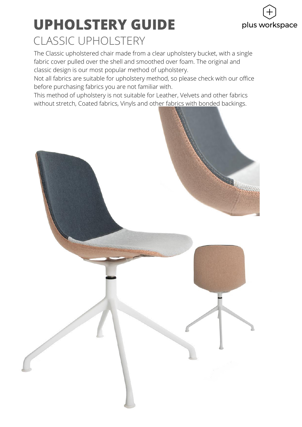# plus workspace

#### **UPHOLSTERY GUIDE** CLASSIC UPHOLSTERY

The Classic upholstered chair made from a clear upholstery bucket, with a single fabric cover pulled over the shell and smoothed over foam. The original and classic design is our most popular method of upholstery.

Not all fabrics are suitable for upholstery method, so please check with our office before purchasing fabrics you are not familiar with.

This method of upholstery is not suitable for Leather, Velvets and other fabrics without stretch, Coated fabrics, Vinyls and other fabrics with bonded backings.